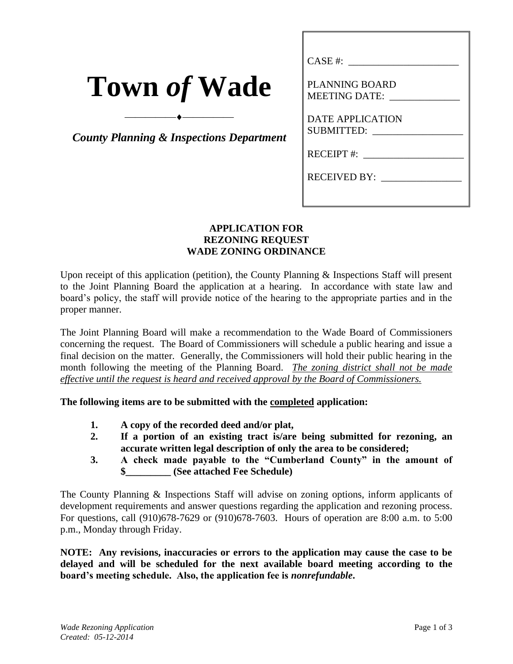| <b>Town of Wade</b> |  |  |
|---------------------|--|--|
|                     |  |  |

*County Planning & Inspections Department*

⎯⎯⎯⎯⎯⎯⎯⎯⎯⎯

| CASE #:                                                |
|--------------------------------------------------------|
| PLANNING BOARD                                         |
| MEETING DATE:                                          |
| <b>DATE APPLICATION</b><br>SUBMITTED: ________________ |
|                                                        |
| RECEIVED BY:                                           |
|                                                        |

## **APPLICATION FOR REZONING REQUEST WADE ZONING ORDINANCE**

Upon receipt of this application (petition), the County Planning & Inspections Staff will present to the Joint Planning Board the application at a hearing. In accordance with state law and board's policy, the staff will provide notice of the hearing to the appropriate parties and in the proper manner.

The Joint Planning Board will make a recommendation to the Wade Board of Commissioners concerning the request. The Board of Commissioners will schedule a public hearing and issue a final decision on the matter. Generally, the Commissioners will hold their public hearing in the month following the meeting of the Planning Board. *The zoning district shall not be made effective until the request is heard and received approval by the Board of Commissioners.*

**The following items are to be submitted with the completed application:**

- **1. A copy of the recorded deed and/or plat,**
- **2. If a portion of an existing tract is/are being submitted for rezoning, an accurate written legal description of only the area to be considered;**
- **3. A check made payable to the "Cumberland County" in the amount of \$\_\_\_\_\_\_\_\_\_ (See attached Fee Schedule)**

The County Planning & Inspections Staff will advise on zoning options, inform applicants of development requirements and answer questions regarding the application and rezoning process. For questions, call (910)678-7629 or (910)678-7603. Hours of operation are 8:00 a.m. to 5:00 p.m., Monday through Friday.

**NOTE: Any revisions, inaccuracies or errors to the application may cause the case to be delayed and will be scheduled for the next available board meeting according to the board's meeting schedule. Also, the application fee is** *nonrefundable***.**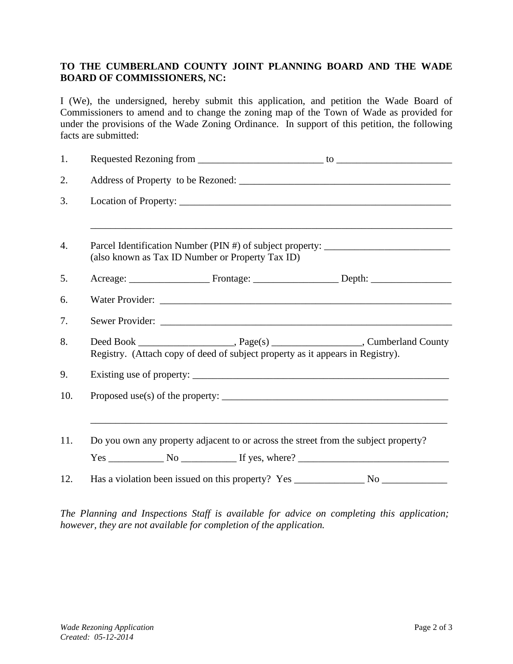## **TO THE CUMBERLAND COUNTY JOINT PLANNING BOARD AND THE WADE BOARD OF COMMISSIONERS, NC:**

I (We), the undersigned, hereby submit this application, and petition the Wade Board of Commissioners to amend and to change the zoning map of the Town of Wade as provided for under the provisions of the Wade Zoning Ordinance. In support of this petition, the following facts are submitted:

| 1.               |                                                                                                                                      |
|------------------|--------------------------------------------------------------------------------------------------------------------------------------|
| 2.               |                                                                                                                                      |
| 3.               |                                                                                                                                      |
| $\overline{4}$ . | Parcel Identification Number (PIN #) of subject property: ______________________<br>(also known as Tax ID Number or Property Tax ID) |
| 5.               |                                                                                                                                      |
| 6.               |                                                                                                                                      |
| 7.               |                                                                                                                                      |
| 8.               | Registry. (Attach copy of deed of subject property as it appears in Registry).                                                       |
| 9.               |                                                                                                                                      |
| 10.              |                                                                                                                                      |
| 11.              | Do you own any property adjacent to or across the street from the subject property?<br>$Yes \_ No \_ INo \_ If yes, where?$          |
| 12.              |                                                                                                                                      |

*The Planning and Inspections Staff is available for advice on completing this application; however, they are not available for completion of the application.*